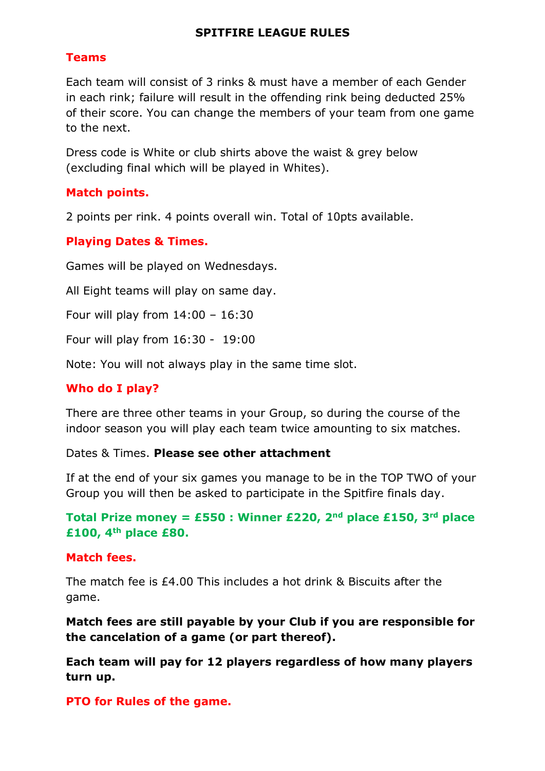#### **SPITFIRE LEAGUE RULES**

#### **Teams**

Each team will consist of 3 rinks & must have a member of each Gender in each rink; failure will result in the offending rink being deducted 25% of their score. You can change the members of your team from one game to the next.

Dress code is White or club shirts above the waist & grey below (excluding final which will be played in Whites).

#### **Match points.**

2 points per rink. 4 points overall win. Total of 10pts available.

## **Playing Dates & Times.**

Games will be played on Wednesdays.

All Eight teams will play on same day.

Four will play from 14:00 – 16:30

Four will play from 16:30 - 19:00

Note: You will not always play in the same time slot.

## **Who do I play?**

There are three other teams in your Group, so during the course of the indoor season you will play each team twice amounting to six matches.

Dates & Times. **Please see other attachment**

If at the end of your six games you manage to be in the TOP TWO of your Group you will then be asked to participate in the Spitfire finals day.

## **Total Prize money = £550 : Winner £220, 2<sup>nd</sup> place £150, 3<sup>rd</sup> place £100, 4th place £80.**

#### **Match fees.**

The match fee is £4.00 This includes a hot drink & Biscuits after the game.

**Match fees are still payable by your Club if you are responsible for the cancelation of a game (or part thereof).**

**Each team will pay for 12 players regardless of how many players turn up.**

**PTO for Rules of the game.**